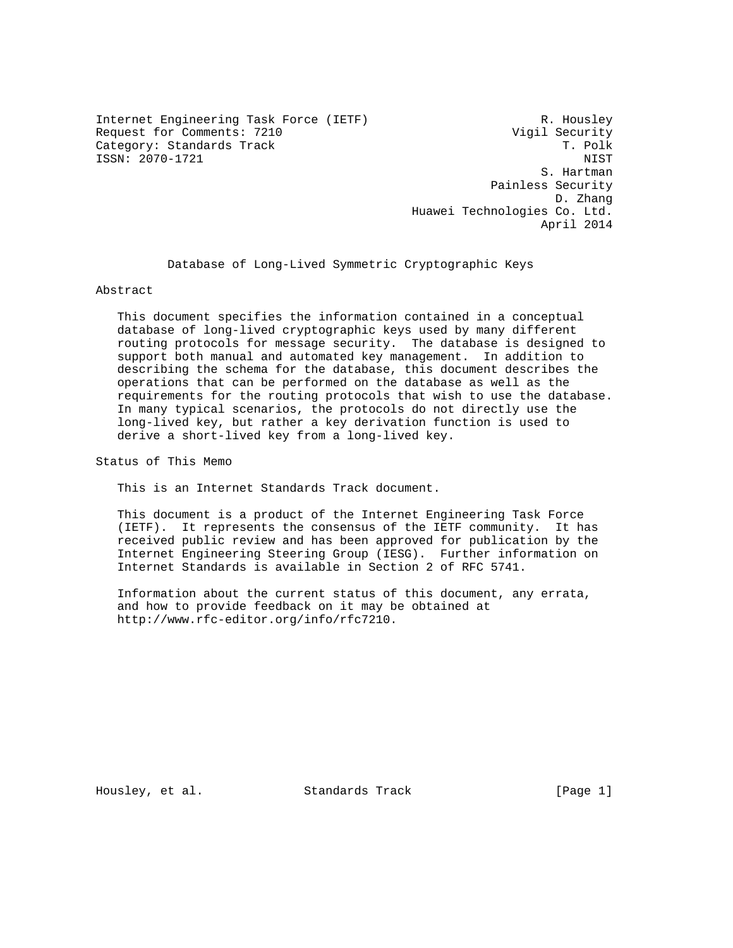Internet Engineering Task Force (IETF) R. Housley Request for Comments: 7210 Vigil Security Category: Standards Track ISSN: 2070-1721 NIST

 S. Hartman Painless Security D. Zhang Huawei Technologies Co. Ltd. April 2014

Database of Long-Lived Symmetric Cryptographic Keys

#### Abstract

 This document specifies the information contained in a conceptual database of long-lived cryptographic keys used by many different routing protocols for message security. The database is designed to support both manual and automated key management. In addition to describing the schema for the database, this document describes the operations that can be performed on the database as well as the requirements for the routing protocols that wish to use the database. In many typical scenarios, the protocols do not directly use the long-lived key, but rather a key derivation function is used to derive a short-lived key from a long-lived key.

Status of This Memo

This is an Internet Standards Track document.

 This document is a product of the Internet Engineering Task Force (IETF). It represents the consensus of the IETF community. It has received public review and has been approved for publication by the Internet Engineering Steering Group (IESG). Further information on Internet Standards is available in Section 2 of RFC 5741.

 Information about the current status of this document, any errata, and how to provide feedback on it may be obtained at http://www.rfc-editor.org/info/rfc7210.

Housley, et al. Standards Track [Page 1]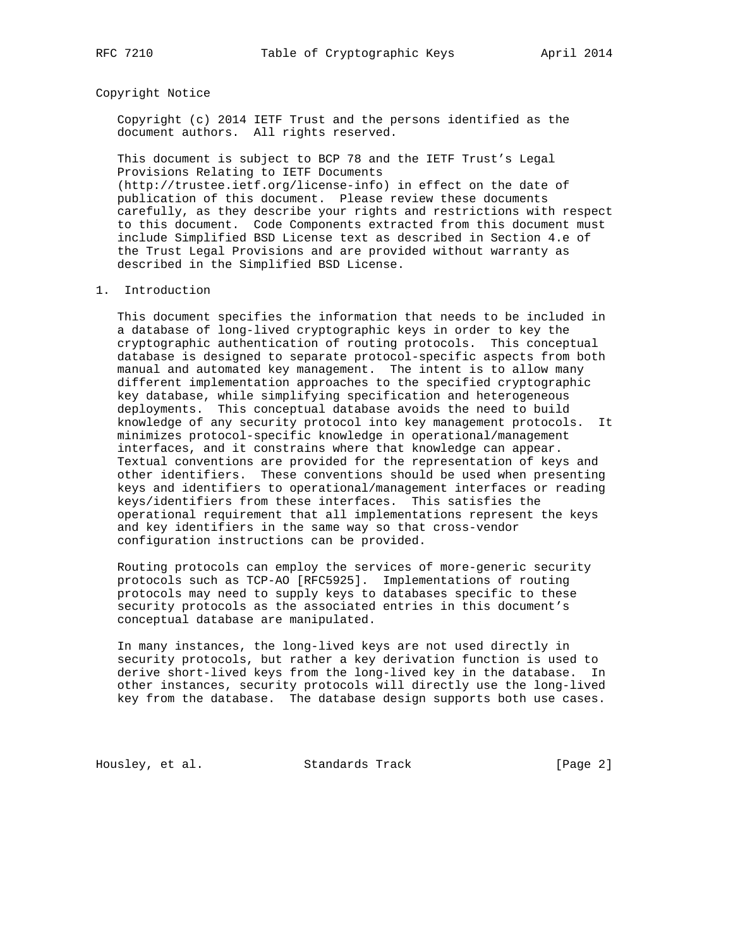## Copyright Notice

 Copyright (c) 2014 IETF Trust and the persons identified as the document authors. All rights reserved.

 This document is subject to BCP 78 and the IETF Trust's Legal Provisions Relating to IETF Documents (http://trustee.ietf.org/license-info) in effect on the date of publication of this document. Please review these documents carefully, as they describe your rights and restrictions with respect to this document. Code Components extracted from this document must include Simplified BSD License text as described in Section 4.e of the Trust Legal Provisions and are provided without warranty as described in the Simplified BSD License.

## 1. Introduction

 This document specifies the information that needs to be included in a database of long-lived cryptographic keys in order to key the cryptographic authentication of routing protocols. This conceptual database is designed to separate protocol-specific aspects from both manual and automated key management. The intent is to allow many different implementation approaches to the specified cryptographic key database, while simplifying specification and heterogeneous deployments. This conceptual database avoids the need to build knowledge of any security protocol into key management protocols. It minimizes protocol-specific knowledge in operational/management interfaces, and it constrains where that knowledge can appear. Textual conventions are provided for the representation of keys and other identifiers. These conventions should be used when presenting keys and identifiers to operational/management interfaces or reading keys/identifiers from these interfaces. This satisfies the operational requirement that all implementations represent the keys and key identifiers in the same way so that cross-vendor configuration instructions can be provided.

 Routing protocols can employ the services of more-generic security protocols such as TCP-AO [RFC5925]. Implementations of routing protocols may need to supply keys to databases specific to these security protocols as the associated entries in this document's conceptual database are manipulated.

 In many instances, the long-lived keys are not used directly in security protocols, but rather a key derivation function is used to derive short-lived keys from the long-lived key in the database. In other instances, security protocols will directly use the long-lived key from the database. The database design supports both use cases.

Housley, et al. Standards Track [Page 2]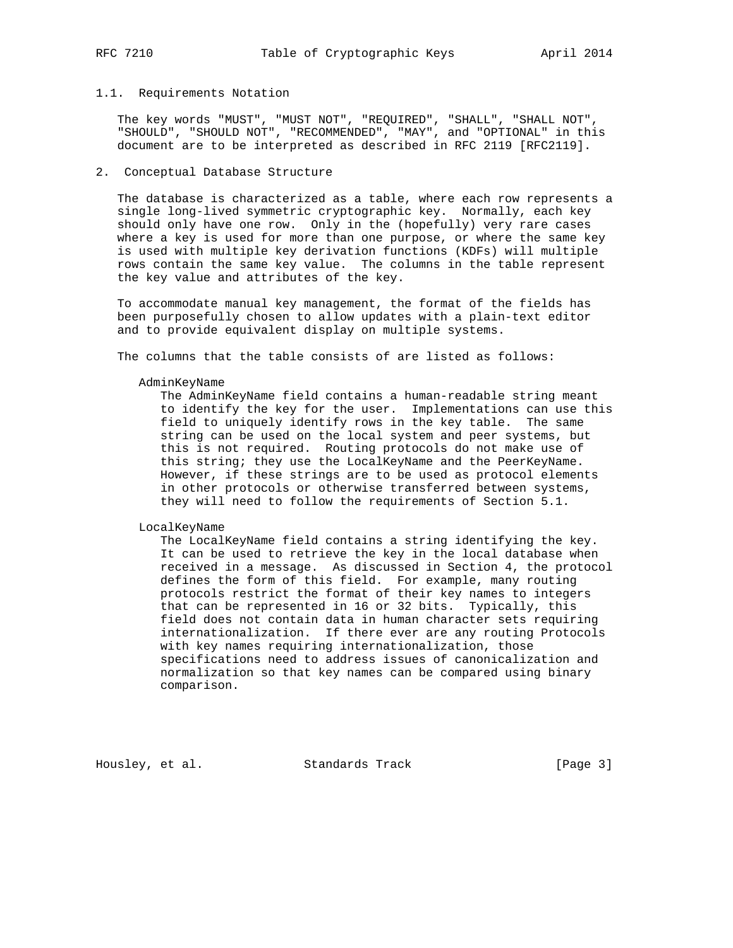## 1.1. Requirements Notation

 The key words "MUST", "MUST NOT", "REQUIRED", "SHALL", "SHALL NOT", "SHOULD", "SHOULD NOT", "RECOMMENDED", "MAY", and "OPTIONAL" in this document are to be interpreted as described in RFC 2119 [RFC2119].

# 2. Conceptual Database Structure

 The database is characterized as a table, where each row represents a single long-lived symmetric cryptographic key. Normally, each key should only have one row. Only in the (hopefully) very rare cases where a key is used for more than one purpose, or where the same key is used with multiple key derivation functions (KDFs) will multiple rows contain the same key value. The columns in the table represent the key value and attributes of the key.

 To accommodate manual key management, the format of the fields has been purposefully chosen to allow updates with a plain-text editor and to provide equivalent display on multiple systems.

The columns that the table consists of are listed as follows:

#### AdminKeyName

 The AdminKeyName field contains a human-readable string meant to identify the key for the user. Implementations can use this field to uniquely identify rows in the key table. The same string can be used on the local system and peer systems, but this is not required. Routing protocols do not make use of this string; they use the LocalKeyName and the PeerKeyName. However, if these strings are to be used as protocol elements in other protocols or otherwise transferred between systems, they will need to follow the requirements of Section 5.1.

#### LocalKeyName

 The LocalKeyName field contains a string identifying the key. It can be used to retrieve the key in the local database when received in a message. As discussed in Section 4, the protocol defines the form of this field. For example, many routing protocols restrict the format of their key names to integers that can be represented in 16 or 32 bits. Typically, this field does not contain data in human character sets requiring internationalization. If there ever are any routing Protocols with key names requiring internationalization, those specifications need to address issues of canonicalization and normalization so that key names can be compared using binary comparison.

Housley, et al. Standards Track [Page 3]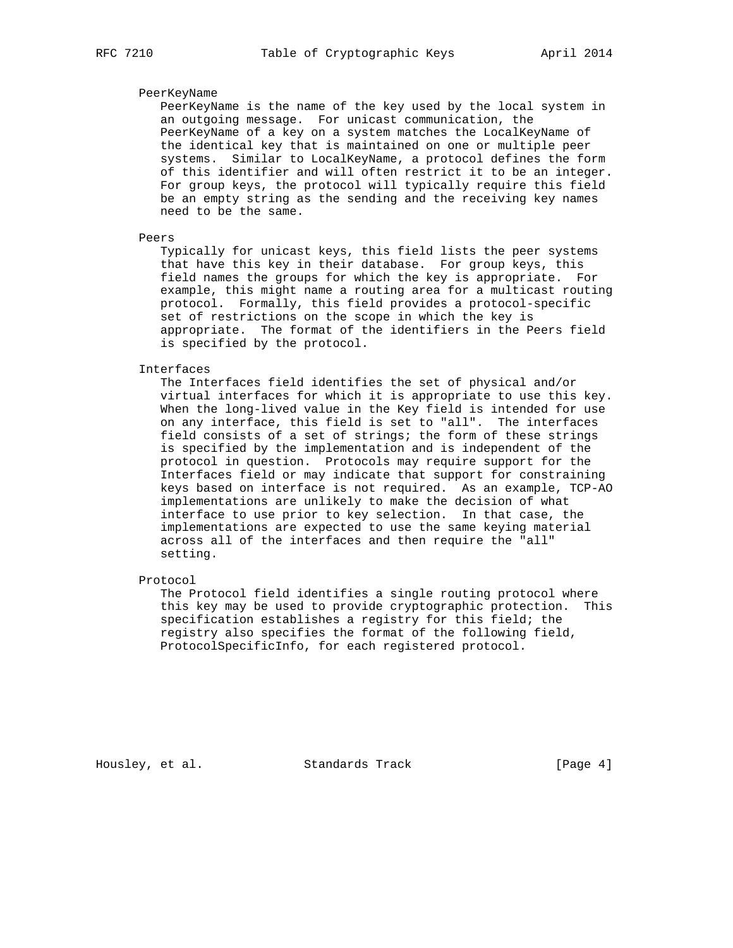# PeerKeyName

 PeerKeyName is the name of the key used by the local system in an outgoing message. For unicast communication, the PeerKeyName of a key on a system matches the LocalKeyName of the identical key that is maintained on one or multiple peer systems. Similar to LocalKeyName, a protocol defines the form of this identifier and will often restrict it to be an integer. For group keys, the protocol will typically require this field be an empty string as the sending and the receiving key names need to be the same.

# Peers

 Typically for unicast keys, this field lists the peer systems that have this key in their database. For group keys, this field names the groups for which the key is appropriate. For example, this might name a routing area for a multicast routing protocol. Formally, this field provides a protocol-specific set of restrictions on the scope in which the key is appropriate. The format of the identifiers in the Peers field is specified by the protocol.

#### Interfaces

 The Interfaces field identifies the set of physical and/or virtual interfaces for which it is appropriate to use this key. When the long-lived value in the Key field is intended for use on any interface, this field is set to "all". The interfaces field consists of a set of strings; the form of these strings is specified by the implementation and is independent of the protocol in question. Protocols may require support for the Interfaces field or may indicate that support for constraining keys based on interface is not required. As an example, TCP-AO implementations are unlikely to make the decision of what interface to use prior to key selection. In that case, the implementations are expected to use the same keying material across all of the interfaces and then require the "all" setting.

Protocol

 The Protocol field identifies a single routing protocol where this key may be used to provide cryptographic protection. This specification establishes a registry for this field; the registry also specifies the format of the following field, ProtocolSpecificInfo, for each registered protocol.

Housley, et al. Standards Track [Page 4]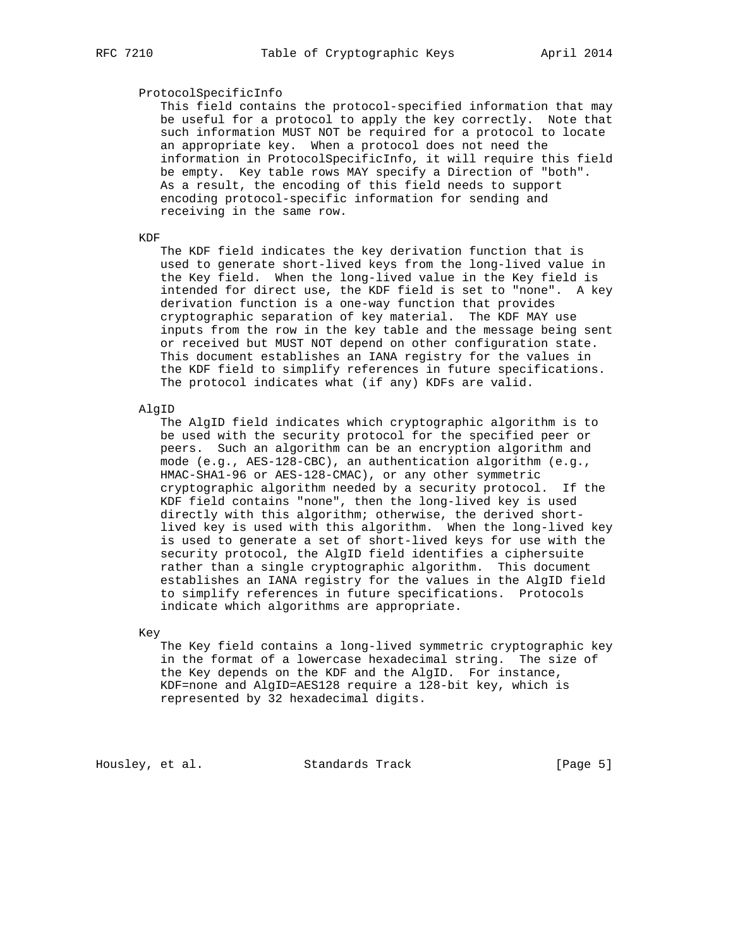# ProtocolSpecificInfo

 This field contains the protocol-specified information that may be useful for a protocol to apply the key correctly. Note that such information MUST NOT be required for a protocol to locate an appropriate key. When a protocol does not need the information in ProtocolSpecificInfo, it will require this field be empty. Key table rows MAY specify a Direction of "both". As a result, the encoding of this field needs to support encoding protocol-specific information for sending and receiving in the same row.

# KDF

 The KDF field indicates the key derivation function that is used to generate short-lived keys from the long-lived value in the Key field. When the long-lived value in the Key field is intended for direct use, the KDF field is set to "none". A key derivation function is a one-way function that provides cryptographic separation of key material. The KDF MAY use inputs from the row in the key table and the message being sent or received but MUST NOT depend on other configuration state. This document establishes an IANA registry for the values in the KDF field to simplify references in future specifications. The protocol indicates what (if any) KDFs are valid.

#### AlgID

 The AlgID field indicates which cryptographic algorithm is to be used with the security protocol for the specified peer or peers. Such an algorithm can be an encryption algorithm and mode (e.g., AES-128-CBC), an authentication algorithm (e.g., HMAC-SHA1-96 or AES-128-CMAC), or any other symmetric cryptographic algorithm needed by a security protocol. If the KDF field contains "none", then the long-lived key is used directly with this algorithm; otherwise, the derived short lived key is used with this algorithm. When the long-lived key is used to generate a set of short-lived keys for use with the security protocol, the AlgID field identifies a ciphersuite rather than a single cryptographic algorithm. This document establishes an IANA registry for the values in the AlgID field to simplify references in future specifications. Protocols indicate which algorithms are appropriate.

Key

 The Key field contains a long-lived symmetric cryptographic key in the format of a lowercase hexadecimal string. The size of the Key depends on the KDF and the AlgID. For instance, KDF=none and AlgID=AES128 require a 128-bit key, which is represented by 32 hexadecimal digits.

Housley, et al. Standards Track [Page 5]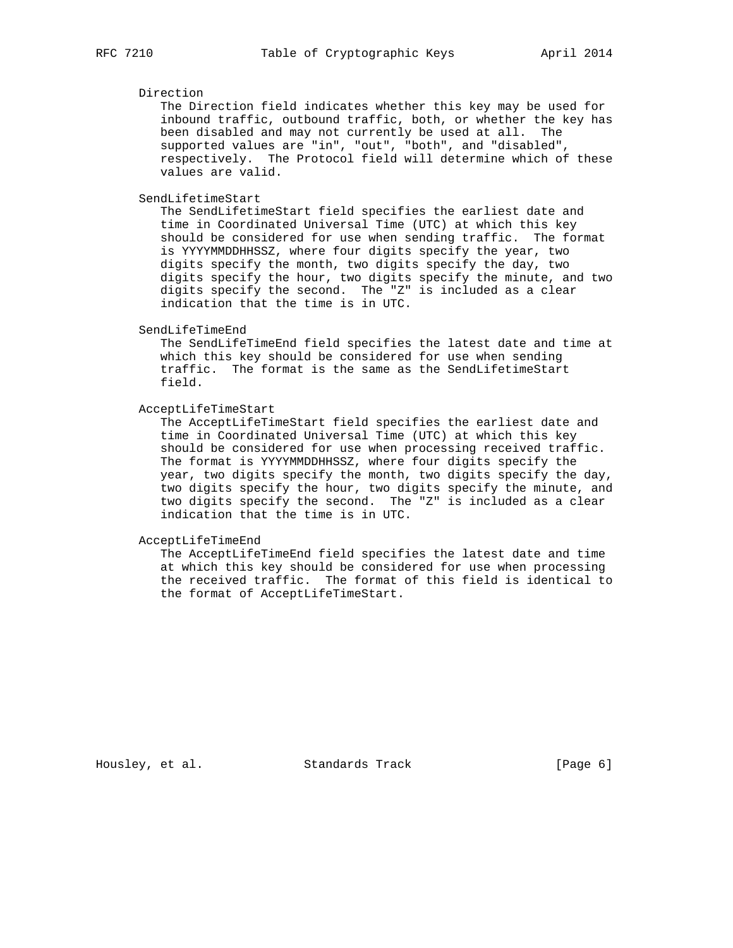# Direction

 The Direction field indicates whether this key may be used for inbound traffic, outbound traffic, both, or whether the key has been disabled and may not currently be used at all. The supported values are "in", "out", "both", and "disabled", respectively. The Protocol field will determine which of these values are valid.

SendLifetimeStart

 The SendLifetimeStart field specifies the earliest date and time in Coordinated Universal Time (UTC) at which this key should be considered for use when sending traffic. The format is YYYYMMDDHHSSZ, where four digits specify the year, two digits specify the month, two digits specify the day, two digits specify the hour, two digits specify the minute, and two digits specify the second. The "Z" is included as a clear indication that the time is in UTC.

### SendLifeTimeEnd

 The SendLifeTimeEnd field specifies the latest date and time at which this key should be considered for use when sending traffic. The format is the same as the SendLifetimeStart field.

### AcceptLifeTimeStart

 The AcceptLifeTimeStart field specifies the earliest date and time in Coordinated Universal Time (UTC) at which this key should be considered for use when processing received traffic. The format is YYYYMMDDHHSSZ, where four digits specify the year, two digits specify the month, two digits specify the day, two digits specify the hour, two digits specify the minute, and two digits specify the second. The "Z" is included as a clear indication that the time is in UTC.

# AcceptLifeTimeEnd

 The AcceptLifeTimeEnd field specifies the latest date and time at which this key should be considered for use when processing the received traffic. The format of this field is identical to the format of AcceptLifeTimeStart.

Housley, et al. Standards Track [Page 6]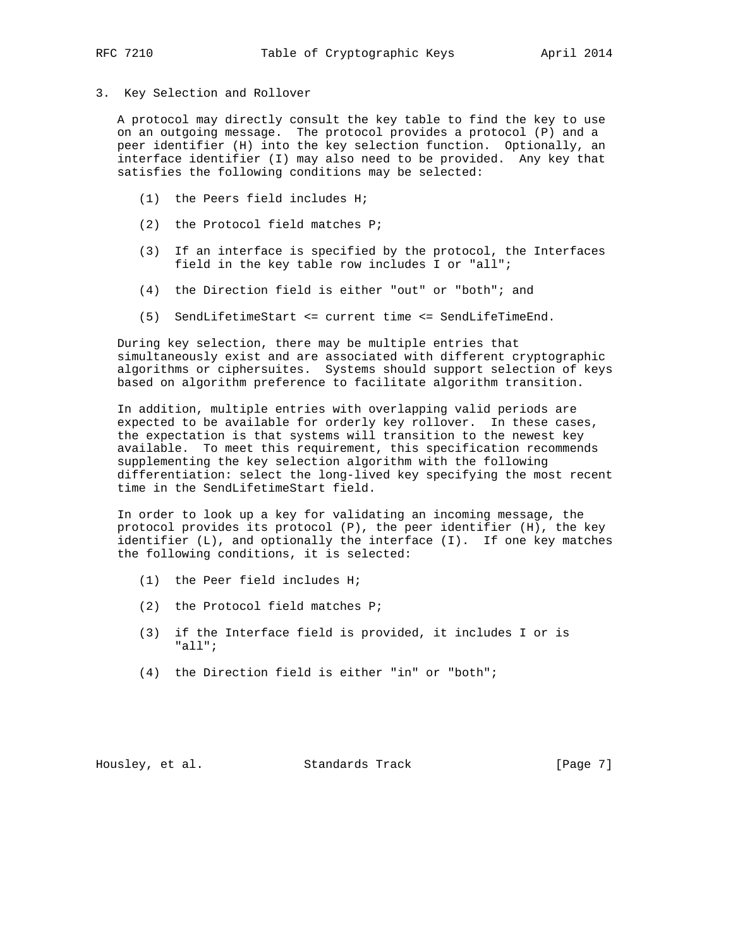3. Key Selection and Rollover

 A protocol may directly consult the key table to find the key to use on an outgoing message. The protocol provides a protocol (P) and a peer identifier (H) into the key selection function. Optionally, an interface identifier (I) may also need to be provided. Any key that satisfies the following conditions may be selected:

- (1) the Peers field includes H;
- (2) the Protocol field matches P;
- (3) If an interface is specified by the protocol, the Interfaces field in the key table row includes I or "all";
- (4) the Direction field is either "out" or "both"; and
- (5) SendLifetimeStart <= current time <= SendLifeTimeEnd.

 During key selection, there may be multiple entries that simultaneously exist and are associated with different cryptographic algorithms or ciphersuites. Systems should support selection of keys based on algorithm preference to facilitate algorithm transition.

 In addition, multiple entries with overlapping valid periods are expected to be available for orderly key rollover. In these cases, the expectation is that systems will transition to the newest key available. To meet this requirement, this specification recommends supplementing the key selection algorithm with the following differentiation: select the long-lived key specifying the most recent time in the SendLifetimeStart field.

 In order to look up a key for validating an incoming message, the protocol provides its protocol (P), the peer identifier (H), the key identifier (L), and optionally the interface (I). If one key matches the following conditions, it is selected:

- (1) the Peer field includes H;
- (2) the Protocol field matches P;
- (3) if the Interface field is provided, it includes I or is "all";
- (4) the Direction field is either "in" or "both";

Housley, et al. Standards Track [Page 7]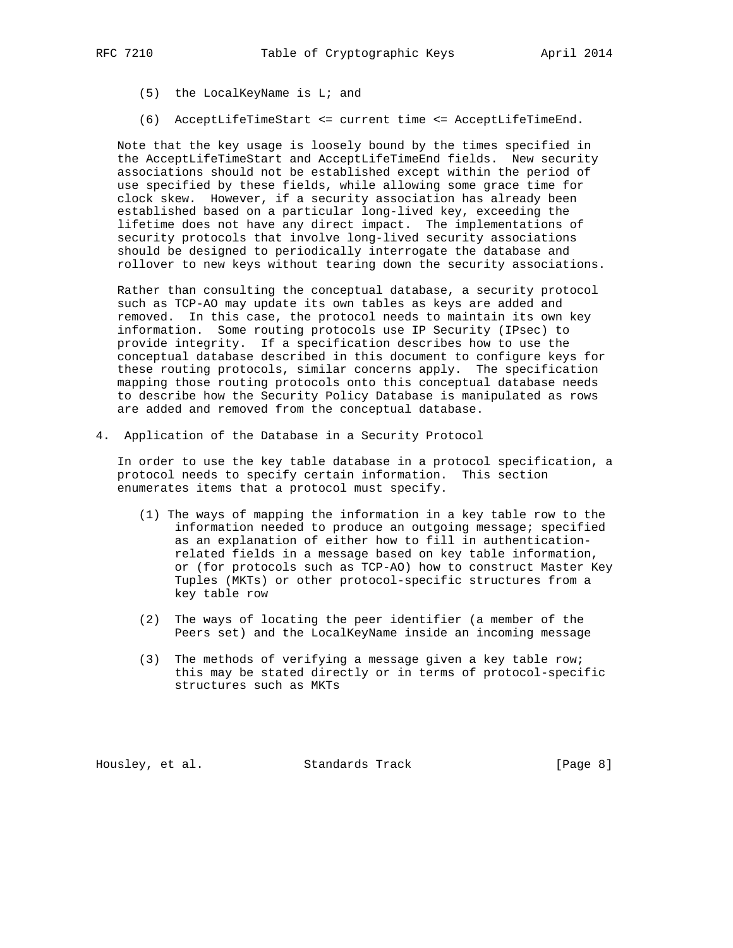- (5) the LocalKeyName is L; and
- (6) AcceptLifeTimeStart <= current time <= AcceptLifeTimeEnd.

 Note that the key usage is loosely bound by the times specified in the AcceptLifeTimeStart and AcceptLifeTimeEnd fields. New security associations should not be established except within the period of use specified by these fields, while allowing some grace time for clock skew. However, if a security association has already been established based on a particular long-lived key, exceeding the lifetime does not have any direct impact. The implementations of security protocols that involve long-lived security associations should be designed to periodically interrogate the database and rollover to new keys without tearing down the security associations.

 Rather than consulting the conceptual database, a security protocol such as TCP-AO may update its own tables as keys are added and removed. In this case, the protocol needs to maintain its own key information. Some routing protocols use IP Security (IPsec) to provide integrity. If a specification describes how to use the conceptual database described in this document to configure keys for these routing protocols, similar concerns apply. The specification mapping those routing protocols onto this conceptual database needs to describe how the Security Policy Database is manipulated as rows are added and removed from the conceptual database.

4. Application of the Database in a Security Protocol

 In order to use the key table database in a protocol specification, a protocol needs to specify certain information. This section enumerates items that a protocol must specify.

- (1) The ways of mapping the information in a key table row to the information needed to produce an outgoing message; specified as an explanation of either how to fill in authentication related fields in a message based on key table information, or (for protocols such as TCP-AO) how to construct Master Key Tuples (MKTs) or other protocol-specific structures from a key table row
- (2) The ways of locating the peer identifier (a member of the Peers set) and the LocalKeyName inside an incoming message
- (3) The methods of verifying a message given a key table row; this may be stated directly or in terms of protocol-specific structures such as MKTs

Housley, et al. Standards Track [Page 8]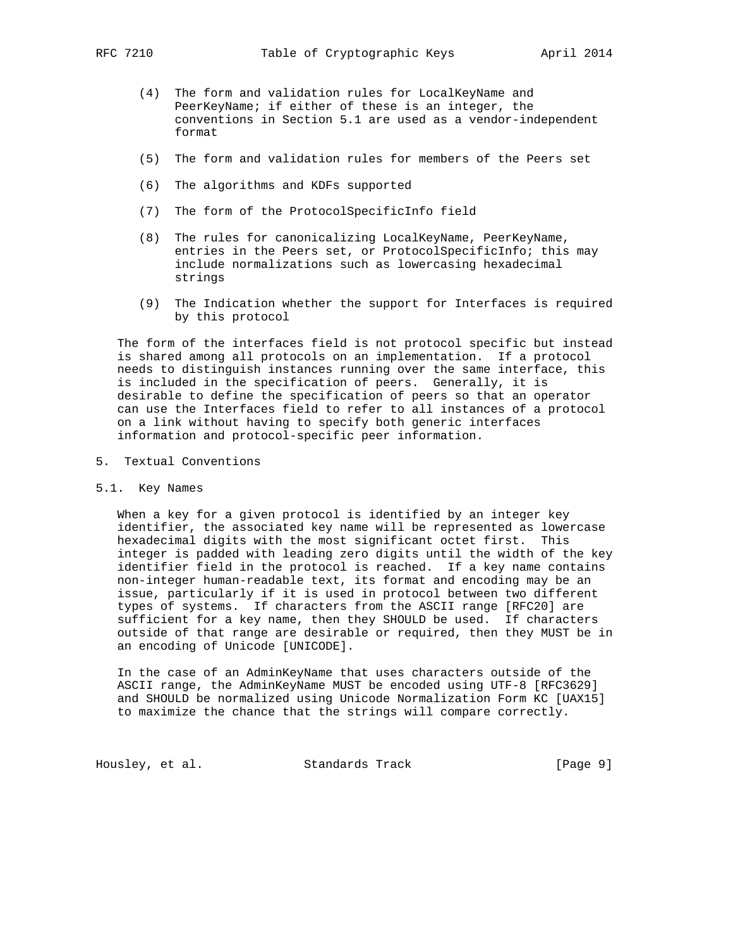- (4) The form and validation rules for LocalKeyName and PeerKeyName; if either of these is an integer, the conventions in Section 5.1 are used as a vendor-independent format
- (5) The form and validation rules for members of the Peers set
- (6) The algorithms and KDFs supported
- (7) The form of the ProtocolSpecificInfo field
- (8) The rules for canonicalizing LocalKeyName, PeerKeyName, entries in the Peers set, or ProtocolSpecificInfo; this may include normalizations such as lowercasing hexadecimal strings
- (9) The Indication whether the support for Interfaces is required by this protocol

 The form of the interfaces field is not protocol specific but instead is shared among all protocols on an implementation. If a protocol needs to distinguish instances running over the same interface, this is included in the specification of peers. Generally, it is desirable to define the specification of peers so that an operator can use the Interfaces field to refer to all instances of a protocol on a link without having to specify both generic interfaces information and protocol-specific peer information.

5. Textual Conventions

#### 5.1. Key Names

 When a key for a given protocol is identified by an integer key identifier, the associated key name will be represented as lowercase hexadecimal digits with the most significant octet first. This integer is padded with leading zero digits until the width of the key identifier field in the protocol is reached. If a key name contains non-integer human-readable text, its format and encoding may be an issue, particularly if it is used in protocol between two different types of systems. If characters from the ASCII range [RFC20] are sufficient for a key name, then they SHOULD be used. If characters outside of that range are desirable or required, then they MUST be in an encoding of Unicode [UNICODE].

 In the case of an AdminKeyName that uses characters outside of the ASCII range, the AdminKeyName MUST be encoded using UTF-8 [RFC3629] and SHOULD be normalized using Unicode Normalization Form KC [UAX15] to maximize the chance that the strings will compare correctly.

Housley, et al. Standards Track [Page 9]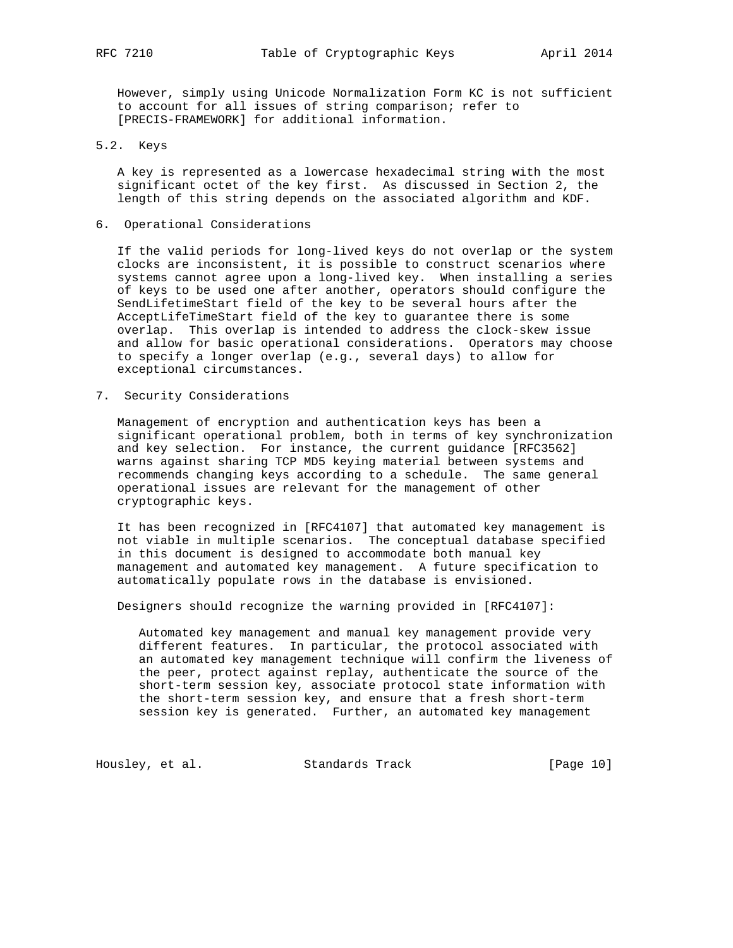However, simply using Unicode Normalization Form KC is not sufficient to account for all issues of string comparison; refer to [PRECIS-FRAMEWORK] for additional information.

# 5.2. Keys

 A key is represented as a lowercase hexadecimal string with the most significant octet of the key first. As discussed in Section 2, the length of this string depends on the associated algorithm and KDF.

6. Operational Considerations

 If the valid periods for long-lived keys do not overlap or the system clocks are inconsistent, it is possible to construct scenarios where systems cannot agree upon a long-lived key. When installing a series of keys to be used one after another, operators should configure the SendLifetimeStart field of the key to be several hours after the AcceptLifeTimeStart field of the key to guarantee there is some overlap. This overlap is intended to address the clock-skew issue and allow for basic operational considerations. Operators may choose to specify a longer overlap (e.g., several days) to allow for exceptional circumstances.

7. Security Considerations

 Management of encryption and authentication keys has been a significant operational problem, both in terms of key synchronization and key selection. For instance, the current guidance [RFC3562] warns against sharing TCP MD5 keying material between systems and recommends changing keys according to a schedule. The same general operational issues are relevant for the management of other cryptographic keys.

 It has been recognized in [RFC4107] that automated key management is not viable in multiple scenarios. The conceptual database specified in this document is designed to accommodate both manual key management and automated key management. A future specification to automatically populate rows in the database is envisioned.

Designers should recognize the warning provided in [RFC4107]:

 Automated key management and manual key management provide very different features. In particular, the protocol associated with an automated key management technique will confirm the liveness of the peer, protect against replay, authenticate the source of the short-term session key, associate protocol state information with the short-term session key, and ensure that a fresh short-term session key is generated. Further, an automated key management

Housley, et al. Standards Track [Page 10]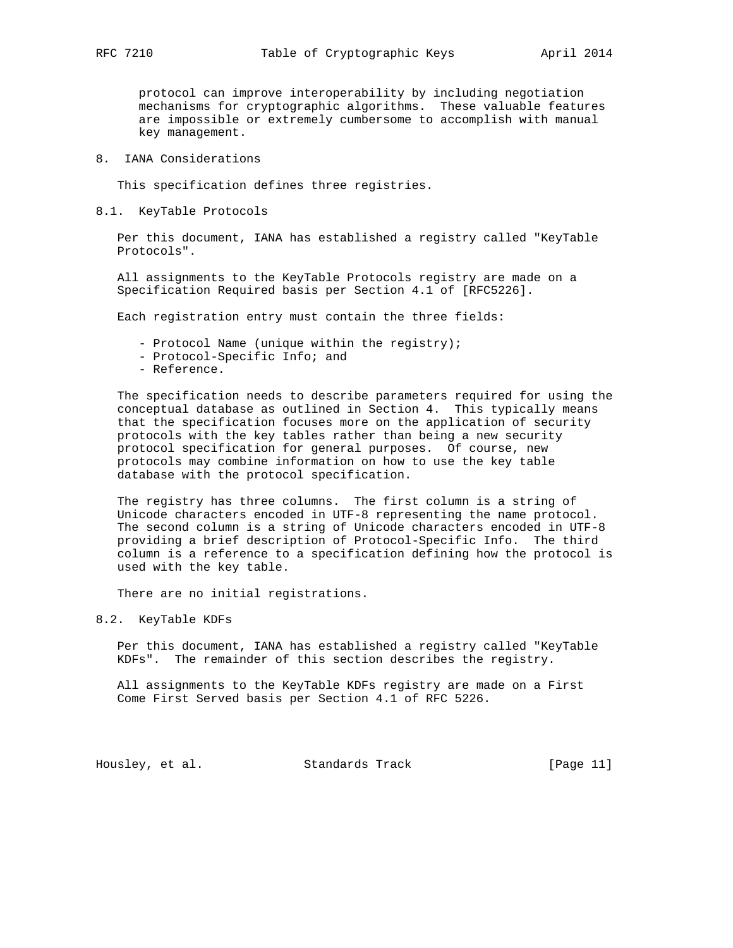protocol can improve interoperability by including negotiation mechanisms for cryptographic algorithms. These valuable features are impossible or extremely cumbersome to accomplish with manual key management.

# 8. IANA Considerations

This specification defines three registries.

8.1. KeyTable Protocols

 Per this document, IANA has established a registry called "KeyTable Protocols".

 All assignments to the KeyTable Protocols registry are made on a Specification Required basis per Section 4.1 of [RFC5226].

Each registration entry must contain the three fields:

- Protocol Name (unique within the registry);
- Protocol-Specific Info; and
- Reference.

 The specification needs to describe parameters required for using the conceptual database as outlined in Section 4. This typically means that the specification focuses more on the application of security protocols with the key tables rather than being a new security protocol specification for general purposes. Of course, new protocols may combine information on how to use the key table database with the protocol specification.

 The registry has three columns. The first column is a string of Unicode characters encoded in UTF-8 representing the name protocol. The second column is a string of Unicode characters encoded in UTF-8 providing a brief description of Protocol-Specific Info. The third column is a reference to a specification defining how the protocol is used with the key table.

There are no initial registrations.

8.2. KeyTable KDFs

 Per this document, IANA has established a registry called "KeyTable KDFs". The remainder of this section describes the registry.

 All assignments to the KeyTable KDFs registry are made on a First Come First Served basis per Section 4.1 of RFC 5226.

Housley, et al. Standards Track [Page 11]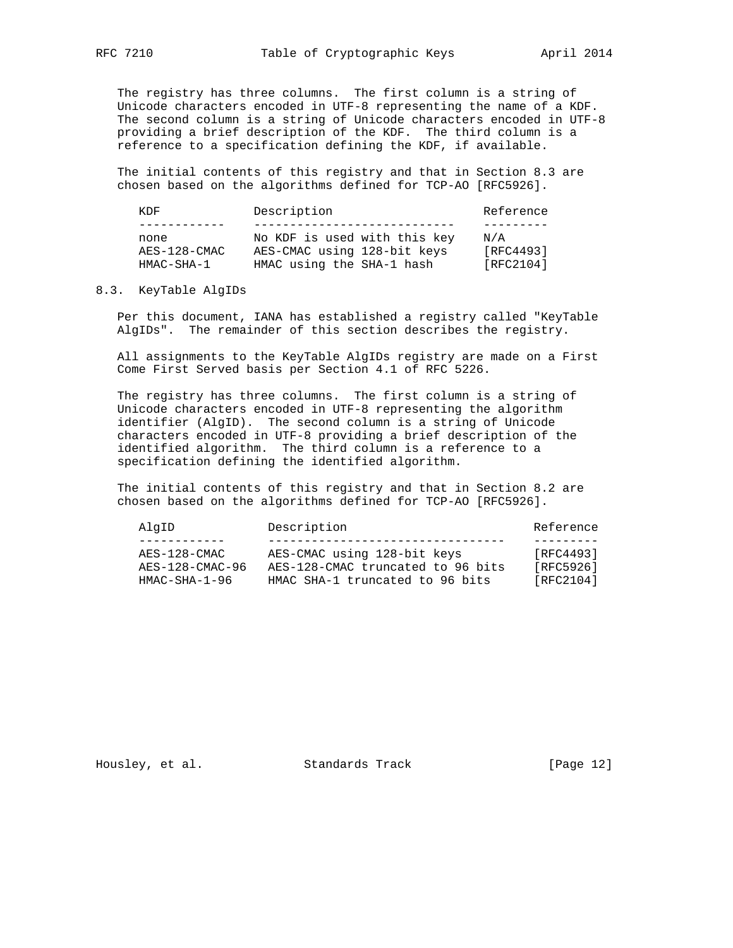The registry has three columns. The first column is a string of Unicode characters encoded in UTF-8 representing the name of a KDF. The second column is a string of Unicode characters encoded in UTF-8 providing a brief description of the KDF. The third column is a reference to a specification defining the KDF, if available.

 The initial contents of this registry and that in Section 8.3 are chosen based on the algorithms defined for TCP-AO [RFC5926].

| KDF                                | Description                                                                              | Reference                     |
|------------------------------------|------------------------------------------------------------------------------------------|-------------------------------|
|                                    |                                                                                          |                               |
| none<br>AES-128-CMAC<br>HMAC-SHA-1 | No KDF is used with this key<br>AES-CMAC using 128-bit keys<br>HMAC using the SHA-1 hash | N/A<br>[RFC4493]<br>[RFC2104] |

## 8.3. KeyTable AlgIDs

 Per this document, IANA has established a registry called "KeyTable AlgIDs". The remainder of this section describes the registry.

 All assignments to the KeyTable AlgIDs registry are made on a First Come First Served basis per Section 4.1 of RFC 5226.

 The registry has three columns. The first column is a string of Unicode characters encoded in UTF-8 representing the algorithm identifier (AlgID). The second column is a string of Unicode characters encoded in UTF-8 providing a brief description of the identified algorithm. The third column is a reference to a specification defining the identified algorithm.

 The initial contents of this registry and that in Section 8.2 are chosen based on the algorithms defined for TCP-AO [RFC5926].

| AES-CMAC using 128-bit keys<br>AES-128-CMAC<br>AES-128-CMAC truncated to 96 bits<br>AES-128-CMAC-96<br>[RFC5926]<br>[RFC2104]<br>$HMAC-SHA-1-96$<br>HMAC SHA-1 truncated to 96 bits | AlgID | Description | Reference |
|-------------------------------------------------------------------------------------------------------------------------------------------------------------------------------------|-------|-------------|-----------|
|                                                                                                                                                                                     |       |             |           |
|                                                                                                                                                                                     |       |             | [RFC4493] |

Housley, et al. Standards Track [Page 12]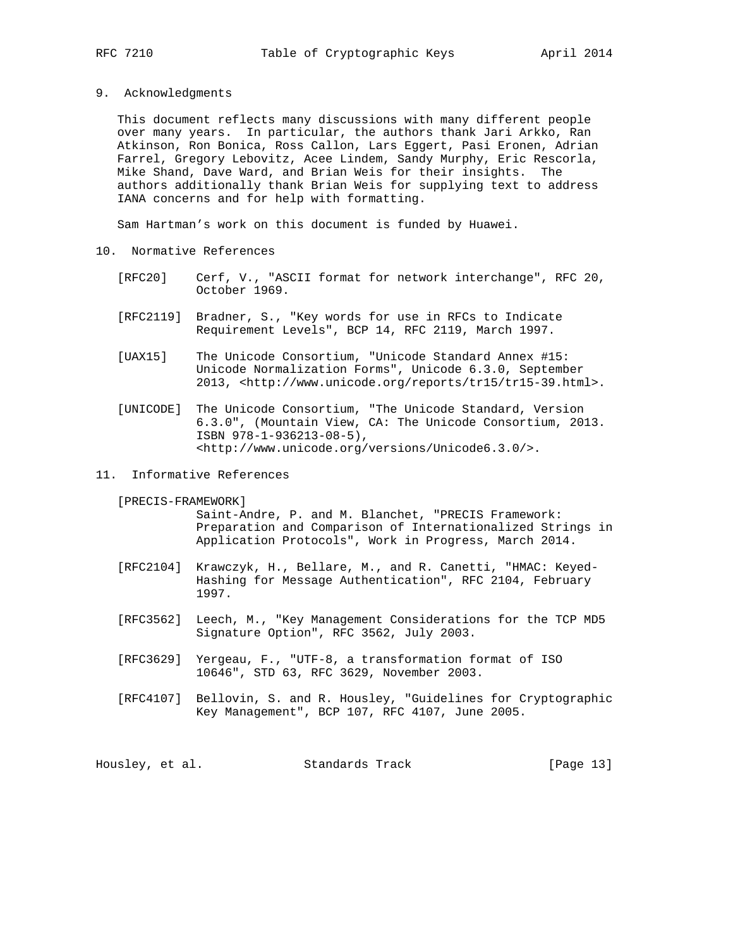9. Acknowledgments

 This document reflects many discussions with many different people over many years. In particular, the authors thank Jari Arkko, Ran Atkinson, Ron Bonica, Ross Callon, Lars Eggert, Pasi Eronen, Adrian Farrel, Gregory Lebovitz, Acee Lindem, Sandy Murphy, Eric Rescorla, Mike Shand, Dave Ward, and Brian Weis for their insights. The authors additionally thank Brian Weis for supplying text to address IANA concerns and for help with formatting.

Sam Hartman's work on this document is funded by Huawei.

- 10. Normative References
	- [RFC20] Cerf, V., "ASCII format for network interchange", RFC 20, October 1969.
	- [RFC2119] Bradner, S., "Key words for use in RFCs to Indicate Requirement Levels", BCP 14, RFC 2119, March 1997.
	- [UAX15] The Unicode Consortium, "Unicode Standard Annex #15: Unicode Normalization Forms", Unicode 6.3.0, September 2013, <http://www.unicode.org/reports/tr15/tr15-39.html>.
	- [UNICODE] The Unicode Consortium, "The Unicode Standard, Version 6.3.0", (Mountain View, CA: The Unicode Consortium, 2013. ISBN 978-1-936213-08-5), <http://www.unicode.org/versions/Unicode6.3.0/>.
- 11. Informative References

[PRECIS-FRAMEWORK]

 Saint-Andre, P. and M. Blanchet, "PRECIS Framework: Preparation and Comparison of Internationalized Strings in Application Protocols", Work in Progress, March 2014.

- [RFC2104] Krawczyk, H., Bellare, M., and R. Canetti, "HMAC: Keyed- Hashing for Message Authentication", RFC 2104, February 1997.
- [RFC3562] Leech, M., "Key Management Considerations for the TCP MD5 Signature Option", RFC 3562, July 2003.
- [RFC3629] Yergeau, F., "UTF-8, a transformation format of ISO 10646", STD 63, RFC 3629, November 2003.
- [RFC4107] Bellovin, S. and R. Housley, "Guidelines for Cryptographic Key Management", BCP 107, RFC 4107, June 2005.

| Housley, et al. | Standards Track | [Page 13] |
|-----------------|-----------------|-----------|
|-----------------|-----------------|-----------|